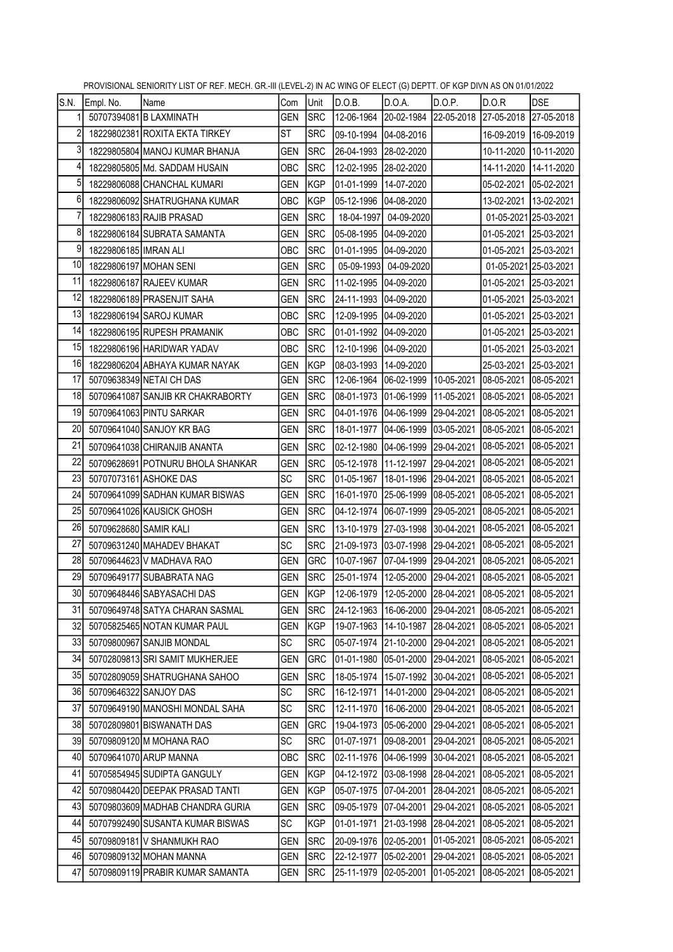|                |                        | THO VIOLUME OLIMORITI LIOT OF INLET MEORE ORGHI (LEVEL-Z) IN AO WINO OF LELOT (O) DEFITE OF NOT DIVINAO ON VIRUZUZZ |            |            |                                                        |                                  |            |                                                        |                       |
|----------------|------------------------|---------------------------------------------------------------------------------------------------------------------|------------|------------|--------------------------------------------------------|----------------------------------|------------|--------------------------------------------------------|-----------------------|
| S.N.           | Empl. No.              | Name                                                                                                                | Com        | Unit       | D.O.B.                                                 | D.O.A.                           | D.O.P.     | D.O.R                                                  | <b>DSE</b>            |
| 1              |                        | 50707394081 B LAXMINATH                                                                                             | <b>GEN</b> | <b>SRC</b> |                                                        |                                  |            | 12-06-1964 20-02-1984 22-05-2018 27-05-2018 27-05-2018 |                       |
| $\overline{2}$ |                        | 18229802381 ROXITA EKTA TIRKEY                                                                                      | <b>ST</b>  | <b>SRC</b> | 09-10-1994 04-08-2016                                  |                                  |            | 16-09-2019 16-09-2019                                  |                       |
| 3              |                        | 18229805804 MANOJ KUMAR BHANJA                                                                                      | <b>GEN</b> | <b>SRC</b> | 26-04-1993 28-02-2020                                  |                                  |            | 10-11-2020                                             | 10-11-2020            |
| 4              |                        | 18229805805 Md. SADDAM HUSAIN                                                                                       | OBC        | <b>SRC</b> | 12-02-1995 28-02-2020                                  |                                  |            |                                                        | 14-11-2020 14-11-2020 |
| $\sqrt{5}$     |                        | 18229806088 CHANCHAL KUMARI                                                                                         | GEN        | KGP        | 01-01-1999 14-07-2020                                  |                                  |            |                                                        |                       |
| 6              |                        | 18229806092 SHATRUGHANA KUMAR                                                                                       | OBC        | KGP        | 05-12-1996 04-08-2020                                  |                                  |            | 13-02-2021 13-02-2021                                  |                       |
| 7              |                        | 18229806183 RAJIB PRASAD                                                                                            | <b>GEN</b> | <b>SRC</b> |                                                        | 18-04-1997 04-09-2020            |            |                                                        | 01-05-2021 25-03-2021 |
| 8              |                        | 18229806184 SUBRATA SAMANTA                                                                                         | <b>GEN</b> | <b>SRC</b> | 05-08-1995 04-09-2020                                  |                                  |            | 01-05-2021 25-03-2021                                  |                       |
| 9              | 18229806185 IMRAN ALI  |                                                                                                                     | OBC        | <b>SRC</b> | 01-01-1995 04-09-2020                                  |                                  |            | 01-05-2021 25-03-2021                                  |                       |
| 10             |                        | 18229806197 MOHAN SENI                                                                                              | GEN        | <b>SRC</b> |                                                        | 05-09-1993 04-09-2020            |            |                                                        | 01-05-2021 25-03-2021 |
| 11             |                        | 18229806187 RAJEEV KUMAR                                                                                            | <b>GEN</b> | <b>SRC</b> | 11-02-1995 04-09-2020                                  |                                  |            | 01-05-2021 25-03-2021                                  |                       |
| 12             |                        | 18229806189 PRASENJIT SAHA                                                                                          | GEN        | <b>SRC</b> | 24-11-1993 04-09-2020                                  |                                  |            | 01-05-2021 25-03-2021                                  |                       |
| 13             |                        | 18229806194 SAROJ KUMAR                                                                                             | OBC        | <b>SRC</b> | 12-09-1995 04-09-2020                                  |                                  |            | 01-05-2021 25-03-2021                                  |                       |
| 14             |                        | 18229806195 RUPESH PRAMANIK                                                                                         | OBC        | <b>SRC</b> | 01-01-1992 04-09-2020                                  |                                  |            | 01-05-2021                                             | 25-03-2021            |
| 15             |                        | 18229806196 HARIDWAR YADAV                                                                                          | OBC        | <b>SRC</b> | 12-10-1996 04-09-2020                                  |                                  |            | 01-05-2021                                             | 25-03-2021            |
| 16             |                        | 18229806204 ABHAYA KUMAR NAYAK                                                                                      | <b>GEN</b> | KGP        | 08-03-1993 14-09-2020                                  |                                  |            | 25-03-2021 25-03-2021                                  |                       |
| 17             |                        | 50709638349 NETAI CH DAS                                                                                            | GEN        | <b>SRC</b> | 12-06-1964 06-02-1999 10-05-2021                       |                                  |            | 08-05-2021 08-05-2021                                  |                       |
| 18             |                        | 50709641087 SANJIB KR CHAKRABORTY                                                                                   | GEN        | <b>SRC</b> |                                                        | 08-01-1973 01-06-1999 11-05-2021 |            | 08-05-2021                                             | 08-05-2021            |
| 19             |                        | 50709641063 PINTU SARKAR                                                                                            | GEN        | <b>SRC</b> | 04-01-1976 04-06-1999 29-04-2021                       |                                  |            | 08-05-2021                                             | 08-05-2021            |
| 20             |                        | 50709641040 SANJOY KR BAG                                                                                           | GEN        | <b>SRC</b> | 18-01-1977                                             | 04-06-1999 03-05-2021            |            | 08-05-2021                                             | 08-05-2021            |
| 21             |                        | 50709641038 CHIRANJIB ANANTA                                                                                        | <b>GEN</b> | <b>SRC</b> | 02-12-1980 04-06-1999 29-04-2021                       |                                  |            | 08-05-2021                                             | 08-05-2021            |
| 22             |                        | 50709628691 POTNURU BHOLA SHANKAR                                                                                   | <b>GEN</b> | <b>SRC</b> | 05-12-1978 11-12-1997 29-04-2021                       |                                  |            | 08-05-2021                                             | 08-05-2021            |
| 23             |                        | 50707073161 ASHOKE DAS                                                                                              | SC         | <b>SRC</b> | 01-05-1967 18-01-1996 29-04-2021                       |                                  |            | 08-05-2021                                             | 08-05-2021            |
| 24             |                        | 50709641099 SADHAN KUMAR BISWAS                                                                                     | <b>GEN</b> | <b>SRC</b> |                                                        | 16-01-1970 25-06-1999 08-05-2021 |            | 08-05-2021                                             | 08-05-2021            |
| 25             |                        | 50709641026 KAUSICK GHOSH                                                                                           | <b>GEN</b> | <b>SRC</b> | 04-12-1974  06-07-1999  29-05-2021                     |                                  |            | 08-05-2021                                             | 08-05-2021            |
| 26             | 50709628680 SAMIR KALI |                                                                                                                     | <b>GEN</b> | <b>SRC</b> | 13-10-1979 27-03-1998 30-04-2021                       |                                  |            | 08-05-2021                                             | 08-05-2021            |
| 27             |                        | 50709631240 MAHADEV BHAKAT                                                                                          | <b>SC</b>  | <b>SRC</b> |                                                        | 21-09-1973 03-07-1998 29-04-2021 |            | 08-05-2021                                             | 08-05-2021            |
| 28             |                        | 50709644623 V MADHAVA RAO                                                                                           | <b>GEN</b> | GRC        | 10-07-1967 07-04-1999 29-04-2021                       |                                  |            | 08-05-2021                                             | 08-05-2021            |
| 29             |                        | 50709649177 SUBABRATA NAG                                                                                           | GEN        | <b>SRC</b> | 25-01-1974 12-05-2000 29-04-2021 08-05-2021 08-05-2021 |                                  |            |                                                        |                       |
| 30             |                        | 50709648446 SABYASACHI DAS                                                                                          | <b>GEN</b> | KGP        | 12-06-1979 12-05-2000 28-04-2021 08-05-2021 08-05-2021 |                                  |            |                                                        |                       |
| 31             |                        | 50709649748 SATYA CHARAN SASMAL                                                                                     | GEN        | <b>SRC</b> | 24-12-1963                                             | 16-06-2000 29-04-2021            |            | 08-05-2021 08-05-2021                                  |                       |
| 32             |                        | 50705825465 NOTAN KUMAR PAUL                                                                                        | GEN        | KGP        | 19-07-1963                                             | 14-10-1987                       | 28-04-2021 | 08-05-2021                                             | 08-05-2021            |
| 33             |                        | 50709800967 SANJIB MONDAL                                                                                           | SC.        | <b>SRC</b> | 05-07-1974                                             | 21-10-2000                       | 29-04-2021 | 08-05-2021                                             | 08-05-2021            |
| 34             |                        | 50702809813 SRI SAMIT MUKHERJEE                                                                                     | <b>GEN</b> | <b>GRC</b> | 01-01-1980                                             | 05-01-2000                       | 29-04-2021 | 08-05-2021                                             | 08-05-2021            |
| 35             |                        | 50702809059 SHATRUGHANA SAHOO                                                                                       | <b>GEN</b> | <b>SRC</b> | 18-05-1974                                             | 15-07-1992                       | 30-04-2021 | 08-05-2021                                             | 08-05-2021            |
| 36             |                        | 50709646322 SANJOY DAS                                                                                              | SC         | <b>SRC</b> | 16-12-1971                                             | 14-01-2000 29-04-2021            |            | 08-05-2021                                             | 08-05-2021            |
| 37             |                        | 50709649190 MANOSHI MONDAL SAHA                                                                                     | SC         | <b>SRC</b> | 12-11-1970                                             | 16-06-2000                       | 29-04-2021 | 08-05-2021                                             | 08-05-2021            |
| 38             |                        | 50702809801 BISWANATH DAS                                                                                           | <b>GEN</b> | GRC        | 19-04-1973                                             | 05-06-2000                       | 29-04-2021 | 08-05-2021                                             | 08-05-2021            |
| 39             |                        | 50709809120 M MOHANA RAO                                                                                            | SC         | <b>SRC</b> | 01-07-1971                                             | 09-08-2001                       | 29-04-2021 | 08-05-2021                                             | 08-05-2021            |
| 40             |                        | 50709641070 ARUP MANNA                                                                                              | OBC        | <b>SRC</b> | 02-11-1976                                             | 04-06-1999                       | 30-04-2021 | 08-05-2021                                             | 08-05-2021            |
| 41             |                        | 50705854945 SUDIPTA GANGULY                                                                                         | GEN        | KGP        | 04-12-1972                                             | 03-08-1998                       | 28-04-2021 | 08-05-2021                                             | 08-05-2021            |
| 42             |                        | 50709804420 DEEPAK PRASAD TANTI                                                                                     | <b>GEN</b> | KGP        | 05-07-1975                                             | 07-04-2001                       | 28-04-2021 | 08-05-2021                                             | 08-05-2021            |
| 43             |                        | 50709803609 MADHAB CHANDRA GURIA                                                                                    | GEN        | <b>SRC</b> | 09-05-1979                                             | 07-04-2001                       | 29-04-2021 | 08-05-2021                                             | 08-05-2021            |
| 44             |                        | 50707992490 SUSANTA KUMAR BISWAS                                                                                    | SC         | <b>KGP</b> | 01-01-1971                                             | 21-03-1998                       | 28-04-2021 | 08-05-2021                                             | 08-05-2021            |
| 45             |                        | 50709809181 V SHANMUKH RAO                                                                                          | <b>GEN</b> | <b>SRC</b> | 20-09-1976                                             | 02-05-2001                       | 01-05-2021 | 08-05-2021                                             | 08-05-2021            |
| 46             |                        | 50709809132 MOHAN MANNA                                                                                             | <b>GEN</b> | <b>SRC</b> | 22-12-1977                                             | 05-02-2001                       | 29-04-2021 | 08-05-2021                                             | 08-05-2021            |
| 47             |                        | 50709809119 PRABIR KUMAR SAMANTA                                                                                    | <b>GEN</b> | <b>SRC</b> | 25-11-1979                                             | 02-05-2001                       | 01-05-2021 | 08-05-2021                                             | 08-05-2021            |
|                |                        |                                                                                                                     |            |            |                                                        |                                  |            |                                                        |                       |

PROVISIONAL SENIORITY LIST OF REF. MECH. GR.-III (LEVEL-2) IN AC WING OF ELECT (G) DEPTT. OF KGP DIVN AS ON 01/01/2022